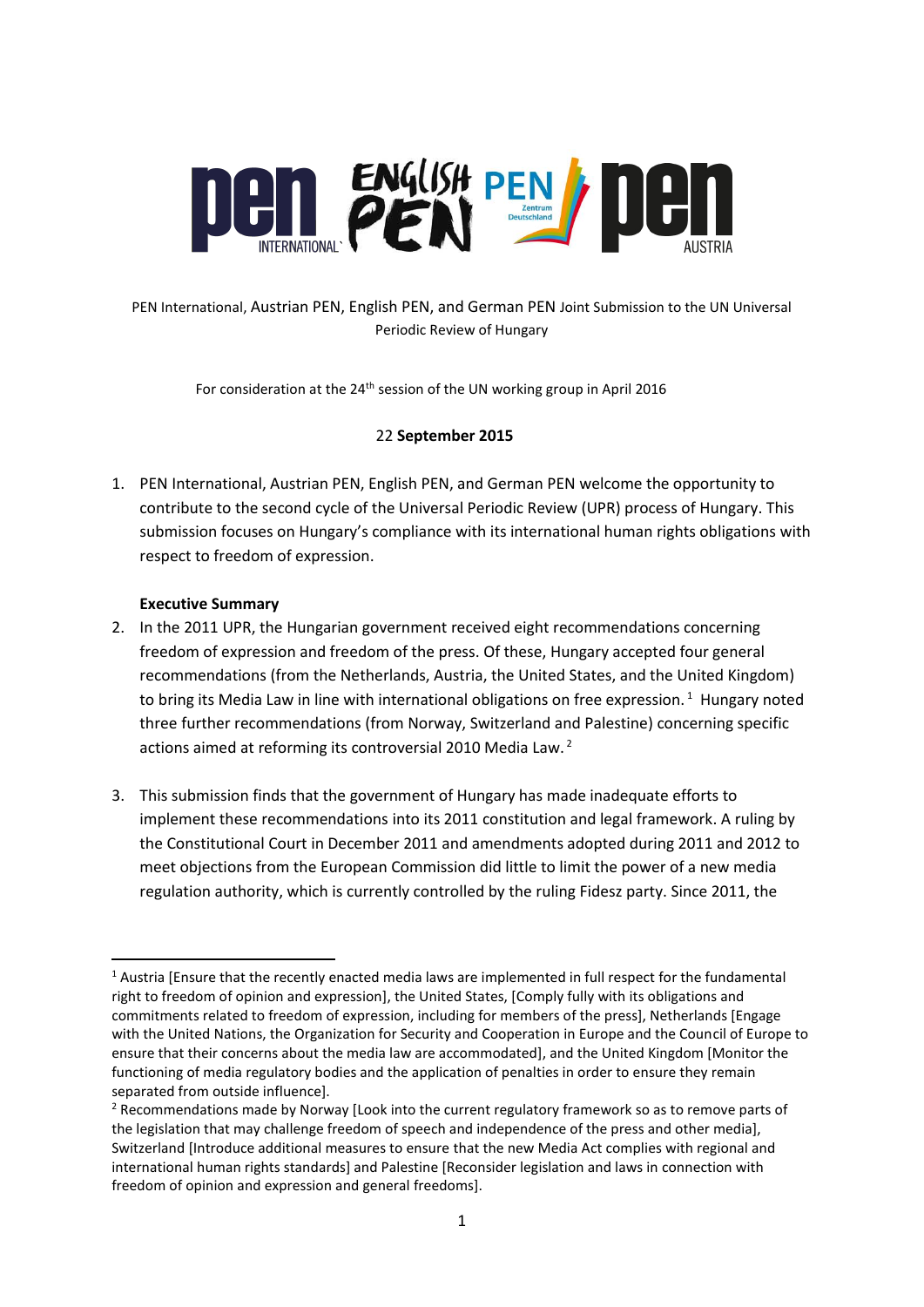

## PEN International, Austrian PEN, English PEN, and German PEN Joint Submission to the UN Universal Periodic Review of Hungary

For consideration at the  $24<sup>th</sup>$  session of the UN working group in April 2016

### 22 **September 2015**

1. PEN International, Austrian PEN, English PEN, and German PEN welcome the opportunity to contribute to the second cycle of the Universal Periodic Review (UPR) process of Hungary. This submission focuses on Hungary's compliance with its international human rights obligations with respect to freedom of expression.

### **Executive Summary**

 $\overline{a}$ 

- 2. In the 2011 UPR, the Hungarian government received eight recommendations concerning freedom of expression and freedom of the press. Of these, Hungary accepted four general recommendations (from the Netherlands, Austria, the United States, and the United Kingdom) to bring its Media Law in line with international obligations on free expression.<sup>1</sup> Hungary noted three further recommendations (from Norway, Switzerland and Palestine) concerning specific actions aimed at reforming its controversial 2010 Media Law.<sup>2</sup>
- 3. This submission finds that the government of Hungary has made inadequate efforts to implement these recommendations into its 2011 constitution and legal framework. A ruling by the Constitutional Court in December 2011 and amendments adopted during 2011 and 2012 to meet objections from the European Commission did little to limit the power of a new media regulation authority, which is currently controlled by the ruling Fidesz party. Since 2011, the

 $1$  Austria [Ensure that the recently enacted media laws are implemented in full respect for the fundamental right to freedom of opinion and expression], the United States, [Comply fully with its obligations and commitments related to freedom of expression, including for members of the press], Netherlands [Engage with the United Nations, the Organization for Security and Cooperation in Europe and the Council of Europe to ensure that their concerns about the media law are accommodated], and the United Kingdom [Monitor the functioning of media regulatory bodies and the application of penalties in order to ensure they remain separated from outside influence].

<sup>&</sup>lt;sup>2</sup> Recommendations made by Norway [Look into the current regulatory framework so as to remove parts of the legislation that may challenge freedom of speech and independence of the press and other media], Switzerland [Introduce additional measures to ensure that the new Media Act complies with regional and international human rights standards] and Palestine [Reconsider legislation and laws in connection with freedom of opinion and expression and general freedoms].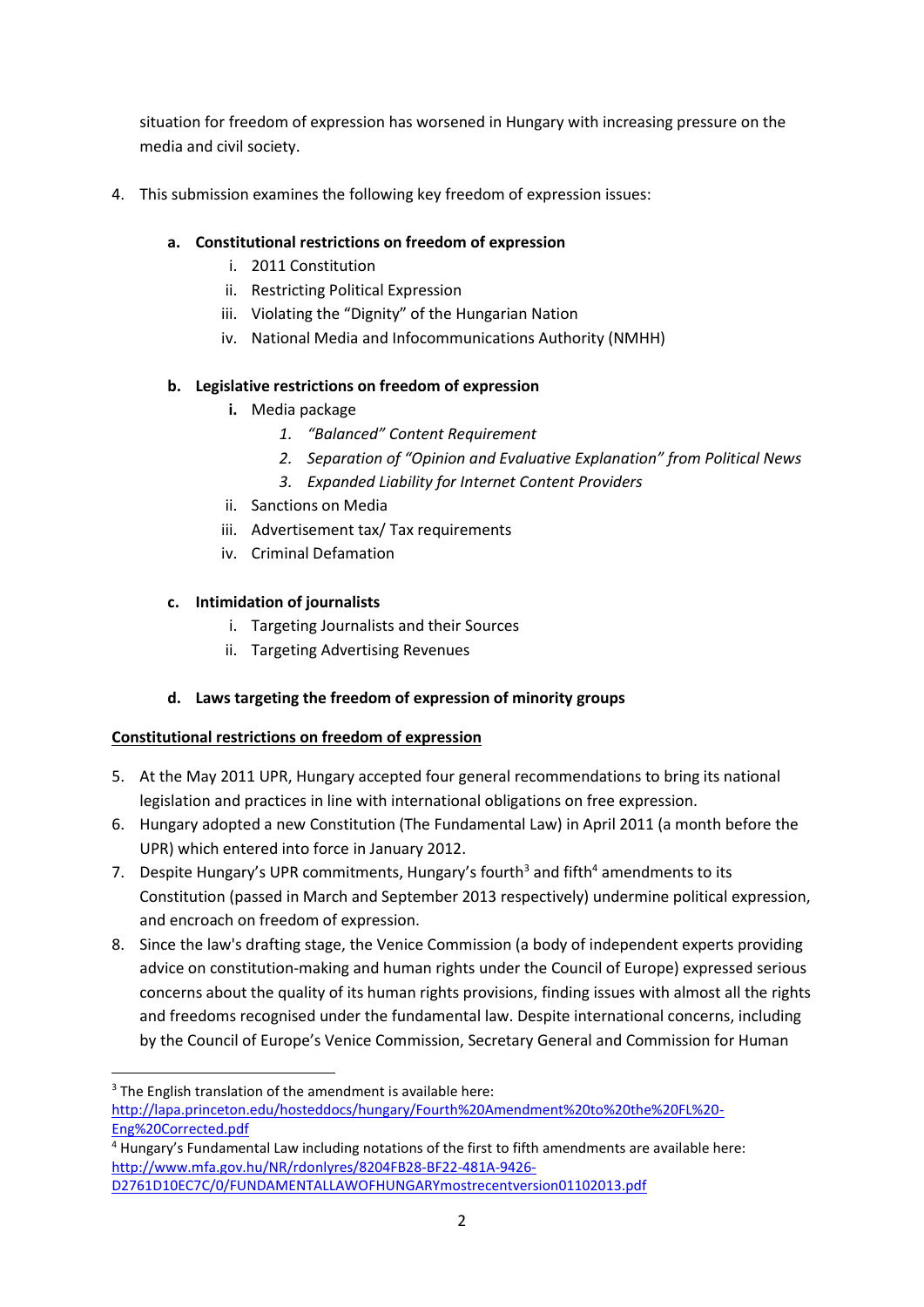situation for freedom of expression has worsened in Hungary with increasing pressure on the media and civil society.

4. This submission examines the following key freedom of expression issues:

# **a. Constitutional restrictions on freedom of expression**

- i. 2011 Constitution
- ii. Restricting Political Expression
- iii. Violating the "Dignity" of the Hungarian Nation
- iv. National Media and Infocommunications Authority (NMHH)

## **b. Legislative restrictions on freedom of expression**

- **i.** Media package
	- *1. "Balanced" Content Requirement*
	- *2. Separation of "Opinion and Evaluative Explanation" from Political News*
	- *3. Expanded Liability for Internet Content Providers*
- ii. Sanctions on Media
- iii. Advertisement tax/ Tax requirements
- iv. Criminal Defamation

# **c. Intimidation of journalists**

- i. Targeting Journalists and their Sources
- ii. Targeting Advertising Revenues

# **d. Laws targeting the freedom of expression of minority groups**

## **Constitutional restrictions on freedom of expression**

- 5. At the May 2011 UPR, Hungary accepted four general recommendations to bring its national legislation and practices in line with international obligations on free expression.
- 6. Hungary adopted a new Constitution (The Fundamental Law) in April 2011 (a month before the UPR) which entered into force in January 2012.
- 7. Despite Hungary's UPR commitments, Hungary's fourth<sup>3</sup> and fifth<sup>4</sup> amendments to its Constitution (passed in March and September 2013 respectively) undermine political expression, and encroach on freedom of expression.
- 8. Since the law's drafting stage, the Venice Commission (a body of independent experts providing advice on constitution-making and human rights under the Council of Europe) expressed serious concerns about the quality of its human rights provisions, finding issues with almost all the rights and freedoms recognised under the fundamental law. Despite international concerns, including by the Council of Europe's Venice Commission, Secretary General and Commission for Human

**<sup>.</sup>** <sup>3</sup> The English translation of the amendment is available here: [http://lapa.princeton.edu/hosteddocs/hungary/Fourth%20Amendment%20to%20the%20FL%20-](http://lapa.princeton.edu/hosteddocs/hungary/Fourth%20Amendment%20to%20the%20FL%20-Eng%20Corrected.pdf) [Eng%20Corrected.pdf](http://lapa.princeton.edu/hosteddocs/hungary/Fourth%20Amendment%20to%20the%20FL%20-Eng%20Corrected.pdf)

<sup>4</sup> Hungary's Fundamental Law including notations of the first to fifth amendments are available here: [http://www.mfa.gov.hu/NR/rdonlyres/8204FB28-BF22-481A-9426-](http://www.mfa.gov.hu/NR/rdonlyres/8204FB28-BF22-481A-9426-D2761D10EC7C/0/FUNDAMENTALLAWOFHUNGARYmostrecentversion01102013.pdf) [D2761D10EC7C/0/FUNDAMENTALLAWOFHUNGARYmostrecentversion01102013.pdf](http://www.mfa.gov.hu/NR/rdonlyres/8204FB28-BF22-481A-9426-D2761D10EC7C/0/FUNDAMENTALLAWOFHUNGARYmostrecentversion01102013.pdf)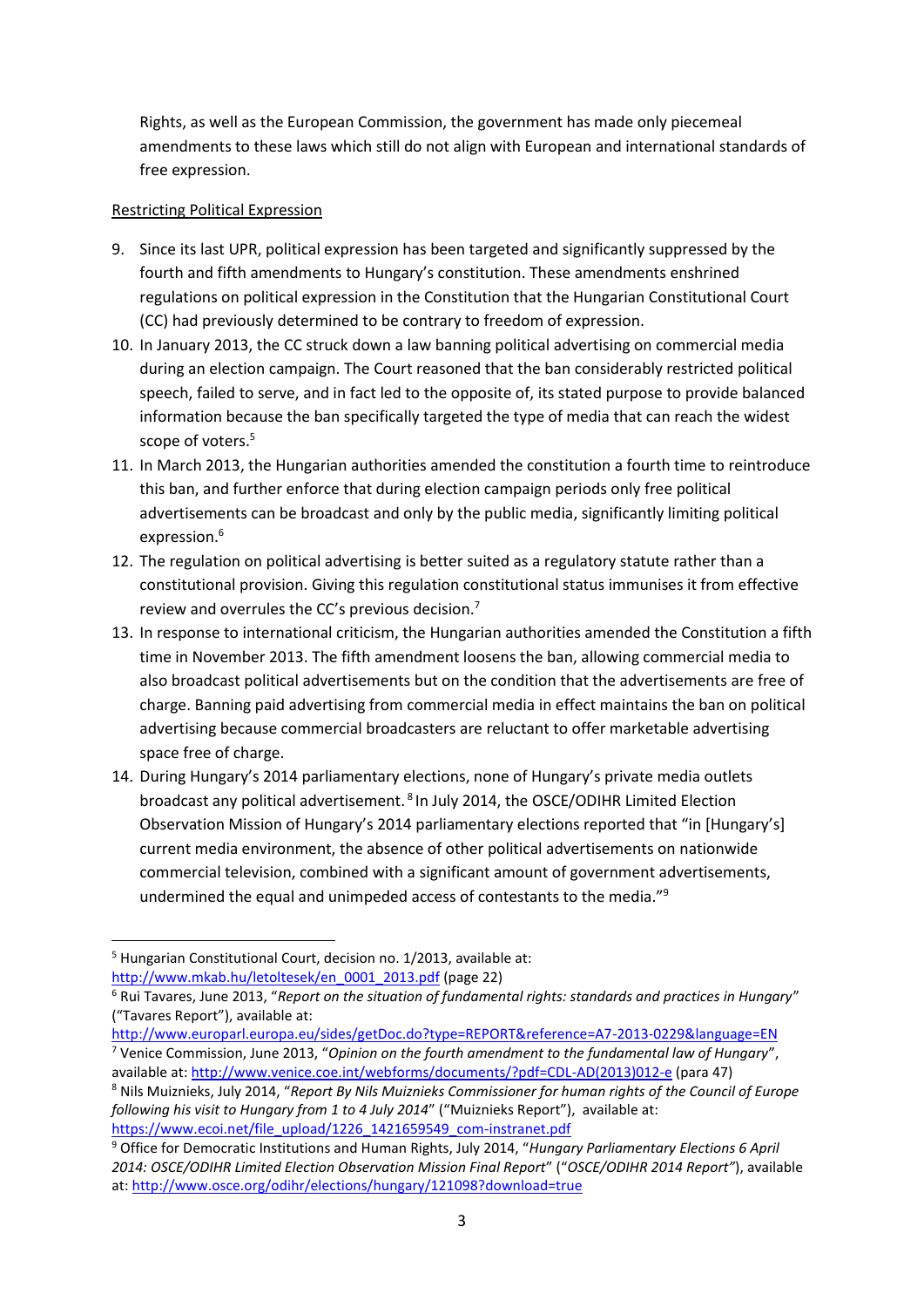Rights, as well as the European Commission, the government has made only piecemeal amendments to these laws which still do not align with European and international standards of free expression.

#### Restricting Political Expression

- 9. Since its last UPR, political expression has been targeted and significantly suppressed by the fourth and fifth amendments to Hungary's constitution. These amendments enshrined regulations on political expression in the Constitution that the Hungarian Constitutional Court (CC) had previously determined to be contrary to freedom of expression.
- 10. In January 2013, the CC struck down a law banning political advertising on commercial media during an election campaign. The Court reasoned that the ban considerably restricted political speech, failed to serve, and in fact led to the opposite of, its stated purpose to provide balanced information because the ban specifically targeted the type of media that can reach the widest scope of voters.<sup>5</sup>
- 11. In March 2013, the Hungarian authorities amended the constitution a fourth time to reintroduce this ban, and further enforce that during election campaign periods only free political advertisements can be broadcast and only by the public media, significantly limiting political expression.<sup>6</sup>
- 12. The regulation on political advertising is better suited as a regulatory statute rather than a constitutional provision. Giving this regulation constitutional status immunises it from effective review and overrules the CC's previous decision.<sup>7</sup>
- 13. In response to international criticism, the Hungarian authorities amended the Constitution a fifth time in November 2013. The fifth amendment loosens the ban, allowing commercial media to also broadcast political advertisements but on the condition that the advertisements are free of charge. Banning paid advertising from commercial media in effect maintains the ban on political advertising because commercial broadcasters are reluctant to offer marketable advertising space free of charge.
- 14. During Hungary's 2014 parliamentary elections, none of Hungary's private media outlets broadcast any political advertisement.<sup>8</sup> In July 2014, the OSCE/ODIHR Limited Election Observation Mission of Hungary's 2014 parliamentary elections reported that "in [Hungary's] current media environment, the absence of other political advertisements on nationwide commercial television, combined with a significant amount of government advertisements, undermined the equal and unimpeded access of contestants to the media."<sup>9</sup>

<http://www.europarl.europa.eu/sides/getDoc.do?type=REPORT&reference=A7-2013-0229&language=EN> <sup>7</sup> Venice Commission, June 2013, "*Opinion on the fourth amendment to the fundamental law of Hungary*",

<sup>1</sup> <sup>5</sup> Hungarian Constitutional Court, decision no. 1/2013, available at:

[http://www.mkab.hu/letoltesek/en\\_0001\\_2013.pdf](http://www.mkab.hu/letoltesek/en_0001_2013.pdf) (page 22)

<sup>6</sup> Rui Tavares, June 2013, "*Report on the situation of fundamental rights: standards and practices in Hungary*" ("Tavares Report"), available at:

available at: [http://www.venice.coe.int/webforms/documents/?pdf=CDL-AD\(2013\)012-e](http://www.venice.coe.int/webforms/documents/?pdf=CDL-AD(2013)012-e) (para 47) <sup>8</sup> Nils Muiznieks, July 2014, "*Report By Nils Muiznieks Commissioner for human rights of the Council of Europe following his visit to Hungary from 1 to 4 July 2014*" ("Muiznieks Report"), available at: [https://www.ecoi.net/file\\_upload/1226\\_1421659549\\_com-instranet.pdf](https://www.ecoi.net/file_upload/1226_1421659549_com-instranet.pdf)

<sup>9</sup> Office for Democratic Institutions and Human Rights, July 2014, "*Hungary Parliamentary Elections 6 April 2014: OSCE/ODIHR Limited Election Observation Mission Final Report*" ("*OSCE/ODIHR 2014 Report"*), available at:<http://www.osce.org/odihr/elections/hungary/121098?download=true>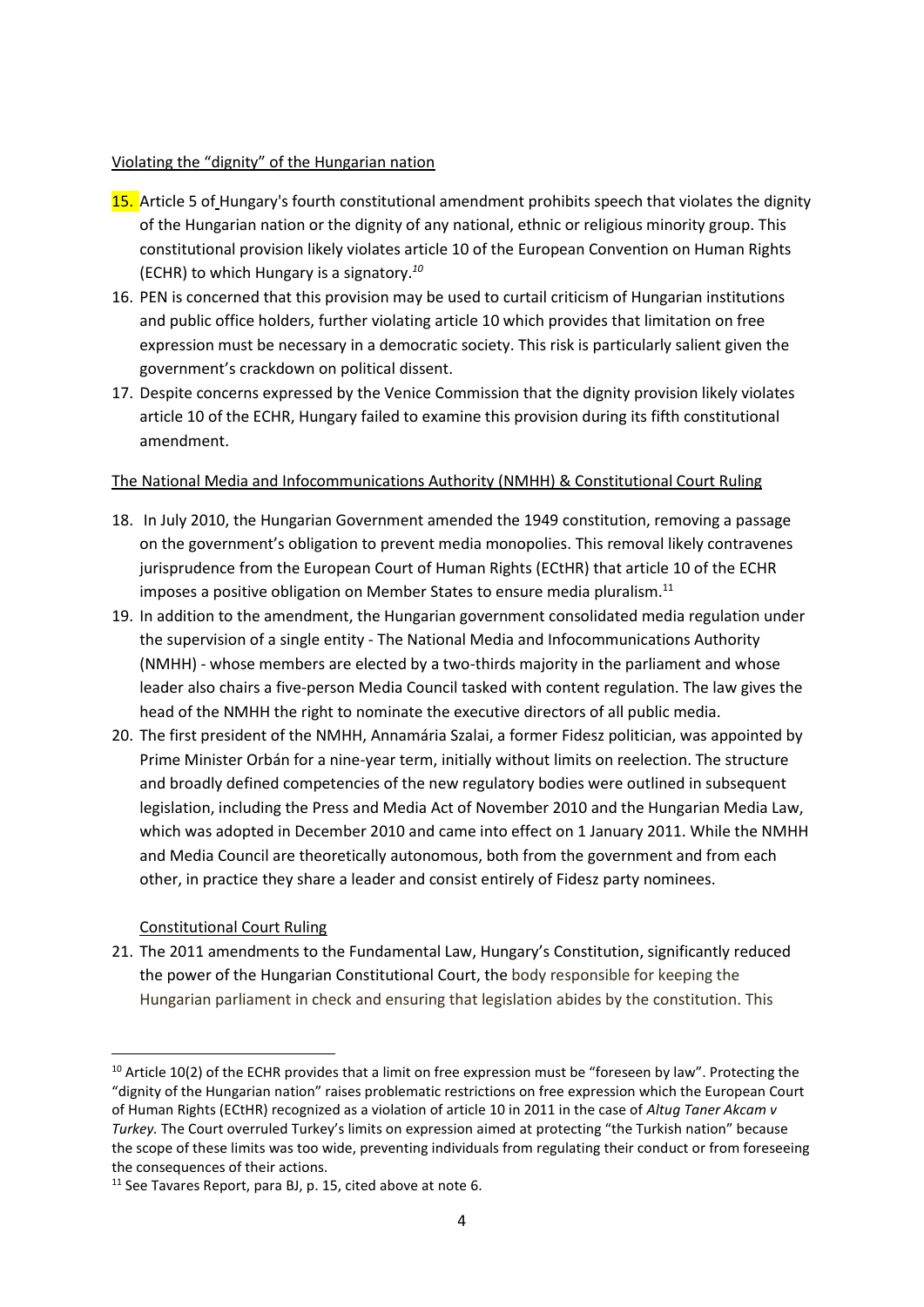#### Violating the "dignity" of the Hungarian nation

- 15. Article 5 of Hungary's fourth constitutional amendment prohibits speech that violates the dignity of the Hungarian nation or the dignity of any national, ethnic or religious minority group. This constitutional provision likely violates article 10 of the European Convention on Human Rights (ECHR) to which Hungary is a signatory. *10*
- 16. PEN is concerned that this provision may be used to curtail criticism of Hungarian institutions and public office holders, further violating article 10 which provides that limitation on free expression must be necessary in a democratic society. This risk is particularly salient given the government's crackdown on political dissent.
- 17. Despite concerns expressed by the Venice Commission that the dignity provision likely violates article 10 of the ECHR, Hungary failed to examine this provision during its fifth constitutional amendment.

### The National Media and Infocommunications Authority (NMHH) & Constitutional Court Ruling

- 18. In July 2010, the Hungarian Government amended the 1949 constitution, removing a passage on the government's obligation to prevent media monopolies. This removal likely contravenes jurisprudence from the European Court of Human Rights (ECtHR) that article 10 of the ECHR imposes a positive obligation on Member States to ensure media pluralism. $11$
- 19. In addition to the amendment, the Hungarian government consolidated media regulation under the supervision of a single entity - The National Media and Infocommunications Authority (NMHH) - whose members are elected by a two-thirds majority in the parliament and whose leader also chairs a five-person Media Council tasked with content regulation. The law gives the head of the NMHH the right to nominate the executive directors of all public media.
- 20. The first president of the NMHH, Annamária Szalai, a former Fidesz politician, was appointed by Prime Minister Orbán for a nine-year term, initially without limits on reelection. The structure and broadly defined competencies of the new regulatory bodies were outlined in subsequent legislation, including the Press and Media Act of November 2010 and the Hungarian Media Law, which was adopted in December 2010 and came into effect on 1 January 2011. While the NMHH and Media Council are theoretically autonomous, both from the government and from each other, in practice they share a leader and consist entirely of Fidesz party nominees.

### Constitutional Court Ruling

 $\overline{\phantom{a}}$ 

21. The 2011 amendments to the Fundamental Law, Hungary's Constitution, significantly reduced the power of the Hungarian Constitutional Court, the body responsible for keeping the Hungarian parliament in check and ensuring that legislation abides by the constitution. This

<sup>&</sup>lt;sup>10</sup> Article 10(2) of the ECHR provides that a limit on free expression must be "foreseen by law". Protecting the "dignity of the Hungarian nation" raises problematic restrictions on free expression which the European Court of Human Rights (ECtHR) recognized as a violation of article 10 in 2011 in the case of *Altug Taner Akcam v Turkey.* The Court overruled Turkey's limits on expression aimed at protecting "the Turkish nation" because the scope of these limits was too wide, preventing individuals from regulating their conduct or from foreseeing the consequences of their actions.

<sup>11</sup> See Tavares Report, para BJ, p. 15, cited above at note 6.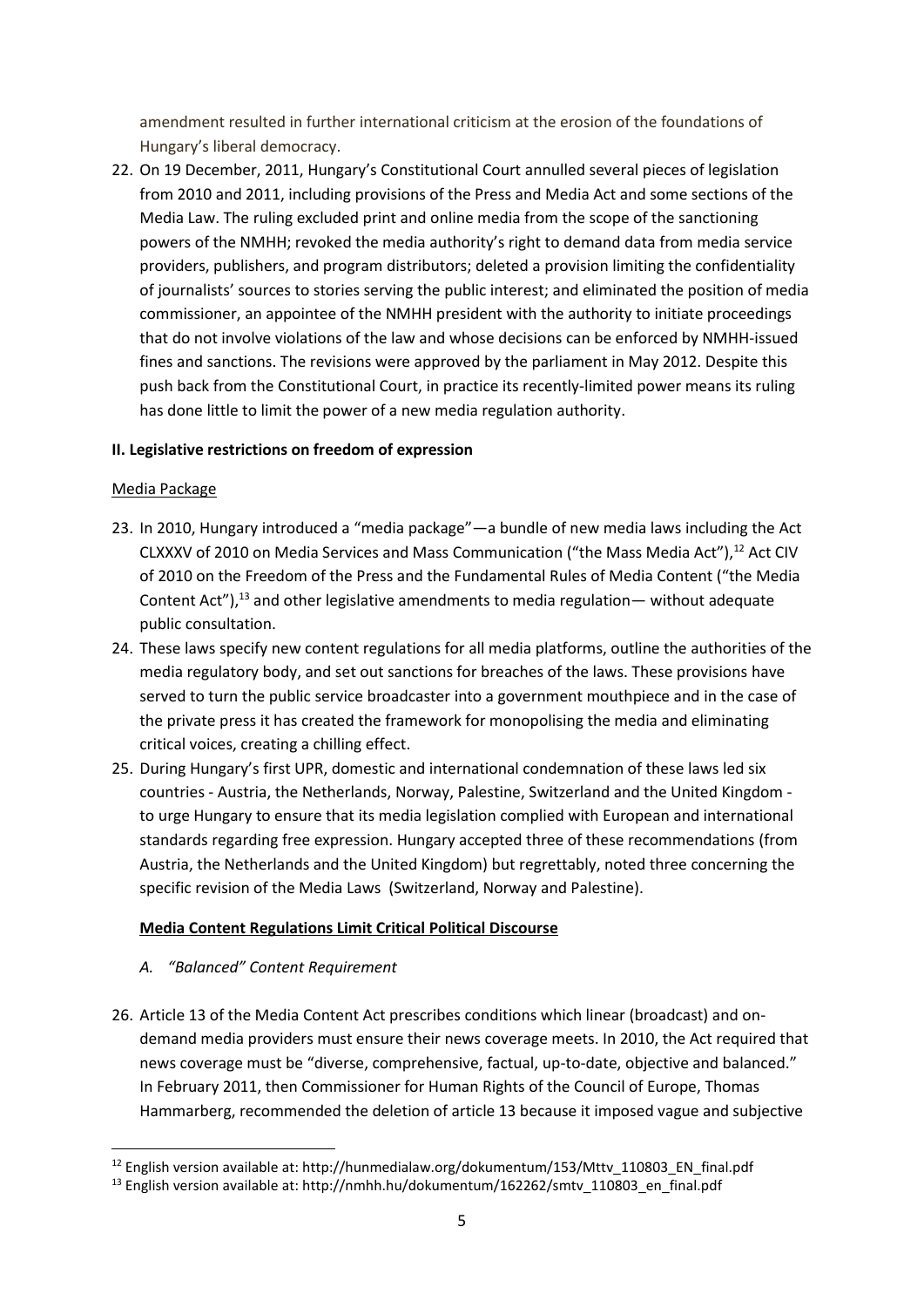amendment resulted in further international criticism at the erosion of the foundations of Hungary's liberal democracy.

22. On 19 December, 2011, Hungary's Constitutional Court annulled several pieces of legislation from 2010 and 2011, including provisions of the Press and Media Act and some sections of the Media Law. The ruling excluded print and online media from the scope of the sanctioning powers of the NMHH; revoked the media authority's right to demand data from media service providers, publishers, and program distributors; deleted a provision limiting the confidentiality of journalists' sources to stories serving the public interest; and eliminated the position of media commissioner, an appointee of the NMHH president with the authority to initiate proceedings that do not involve violations of the law and whose decisions can be enforced by NMHH-issued fines and sanctions. The revisions were approved by the parliament in May 2012. Despite this push back from the Constitutional Court, in practice its recently-limited power means its ruling has done little to limit the power of a new media regulation authority.

### **II. Legislative restrictions on freedom of expression**

### Media Package

- 23. In 2010, Hungary introduced a "media package"—a bundle of new media laws including the Act CLXXXV of 2010 on Media Services and Mass Communication ("the Mass Media Act"),<sup>12</sup> Act CIV of 2010 on the Freedom of the Press and the Fundamental Rules of Media Content ("the Media Content Act"), $^{13}$  and other legislative amendments to media regulation — without adequate public consultation.
- 24. These laws specify new content regulations for all media platforms, outline the authorities of the media regulatory body, and set out sanctions for breaches of the laws. These provisions have served to turn the public service broadcaster into a government mouthpiece and in the case of the private press it has created the framework for monopolising the media and eliminating critical voices, creating a chilling effect.
- 25. During Hungary's first UPR, domestic and international condemnation of these laws led six countries - Austria, the Netherlands, Norway, Palestine, Switzerland and the United Kingdom to urge Hungary to ensure that its media legislation complied with European and international standards regarding free expression. Hungary accepted three of these recommendations (from Austria, the Netherlands and the United Kingdom) but regrettably, noted three concerning the specific revision of the Media Laws (Switzerland, Norway and Palestine).

### **Media Content Regulations Limit Critical Political Discourse**

### *A. "Balanced" Content Requirement*

26. Article 13 of the Media Content Act prescribes conditions which linear (broadcast) and ondemand media providers must ensure their news coverage meets. In 2010, the Act required that news coverage must be "diverse, comprehensive, factual, up-to-date, objective and balanced." In February 2011, then Commissioner for Human Rights of the Council of Europe, Thomas Hammarberg, recommended the deletion of article 13 because it imposed vague and subjective

**<sup>.</sup>** <sup>12</sup> English version available at: http://hunmedialaw.org/dokumentum/153/Mttv 110803 EN\_final.pdf

<sup>&</sup>lt;sup>13</sup> English version available at: http://nmhh.hu/dokumentum/162262/smtv\_110803\_en\_final.pdf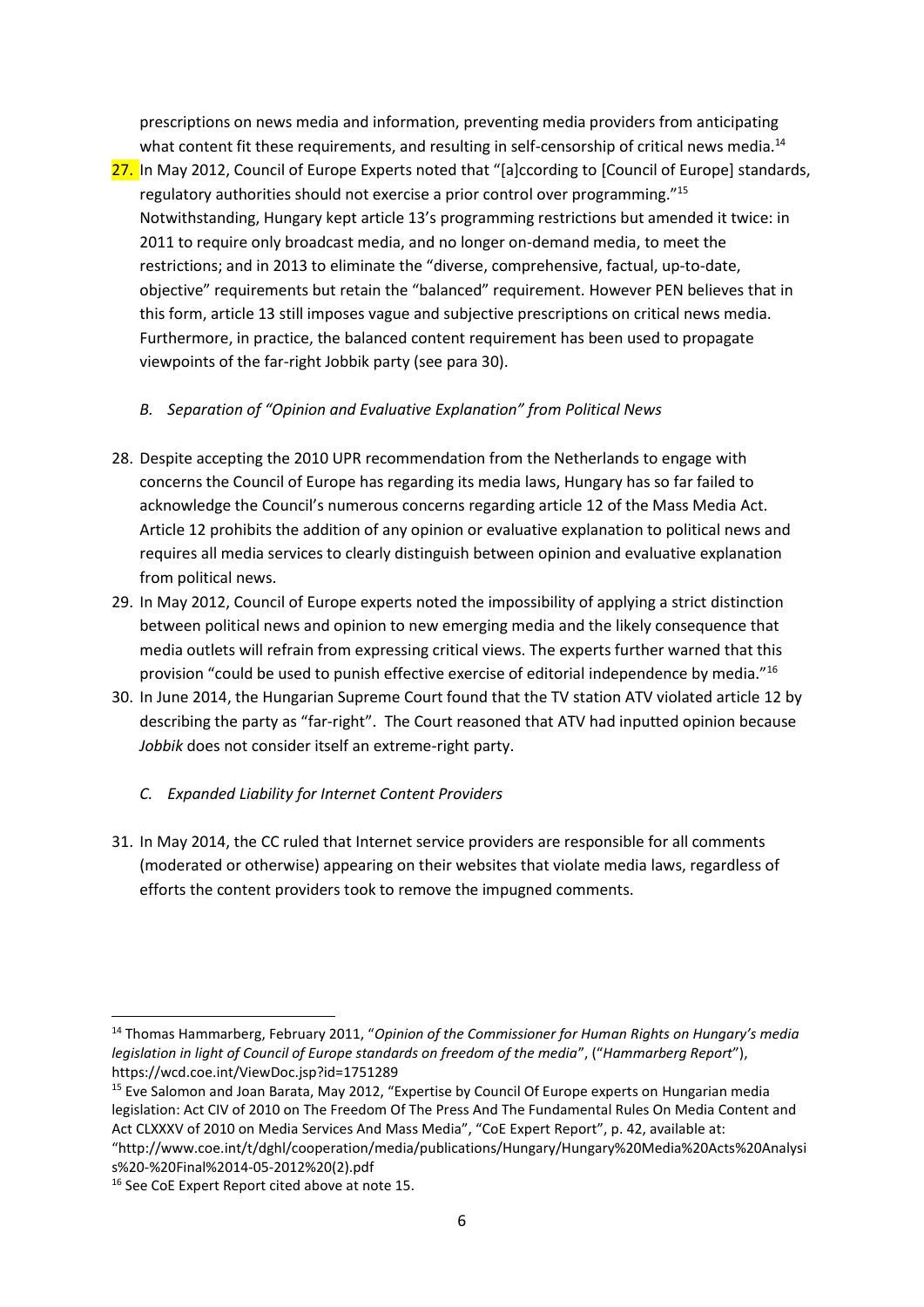prescriptions on news media and information, preventing media providers from anticipating what content fit these requirements, and resulting in self-censorship of critical news media.<sup>14</sup>

27. In May 2012, Council of Europe Experts noted that "[a]ccording to [Council of Europe] standards, regulatory authorities should not exercise a prior control over programming."<sup>15</sup> Notwithstanding, Hungary kept article 13's programming restrictions but amended it twice: in 2011 to require only broadcast media, and no longer on-demand media, to meet the restrictions; and in 2013 to eliminate the "diverse, comprehensive, factual, up-to-date, objective" requirements but retain the "balanced" requirement. However PEN believes that in this form, article 13 still imposes vague and subjective prescriptions on critical news media. Furthermore, in practice, the balanced content requirement has been used to propagate viewpoints of the far-right Jobbik party (see para 30).

## *B. Separation of "Opinion and Evaluative Explanation" from Political News*

- 28. Despite accepting the 2010 UPR recommendation from the Netherlands to engage with concerns the Council of Europe has regarding its media laws, Hungary has so far failed to acknowledge the Council's numerous concerns regarding article 12 of the Mass Media Act. Article 12 prohibits the addition of any opinion or evaluative explanation to political news and requires all media services to clearly distinguish between opinion and evaluative explanation from political news.
- 29. In May 2012, Council of Europe experts noted the impossibility of applying a strict distinction between political news and opinion to new emerging media and the likely consequence that media outlets will refrain from expressing critical views. The experts further warned that this provision "could be used to punish effective exercise of editorial independence by media."<sup>16</sup>
- 30. In June 2014, the Hungarian Supreme Court found that the TV station ATV violated article 12 by describing the party as "far-right". The Court reasoned that ATV had inputted opinion because *Jobbik* does not consider itself an extreme-right party.
	- *C. Expanded Liability for Internet Content Providers*
- 31. In May 2014, the CC ruled that Internet service providers are responsible for all comments (moderated or otherwise) appearing on their websites that violate media laws, regardless of efforts the content providers took to remove the impugned comments.

**<sup>.</sup>** <sup>14</sup> Thomas Hammarberg, February 2011, "*Opinion of the Commissioner for Human Rights on Hungary's media legislation in light of Council of Europe standards on freedom of the media*", ("*Hammarberg Report*"), https://wcd.coe.int/ViewDoc.jsp?id=1751289

<sup>&</sup>lt;sup>15</sup> Eve Salomon and Joan Barata, May 2012, "Expertise by Council Of Europe experts on Hungarian media legislation: Act CIV of 2010 on The Freedom Of The Press And The Fundamental Rules On Media Content and Act CLXXXV of 2010 on Media Services And Mass Media", "CoE Expert Report", p. 42, available at:

<sup>&</sup>quot;http://www.coe.int/t/dghl/cooperation/media/publications/Hungary/Hungary%20Media%20Acts%20Analysi s%20-%20Final%2014-05-2012%20(2).pdf

<sup>&</sup>lt;sup>16</sup> See CoE Expert Report cited above at note 15.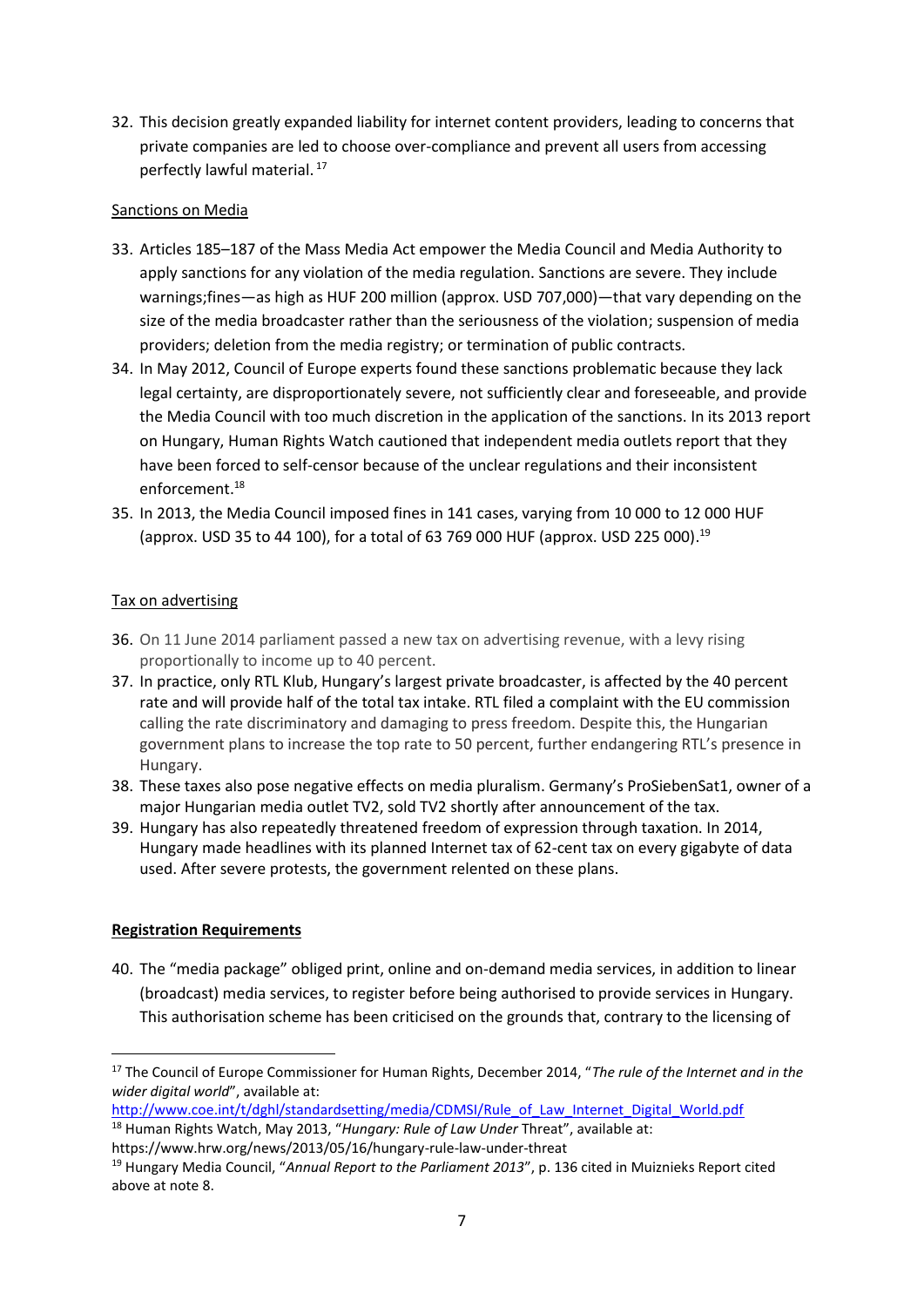32. This decision greatly expanded liability for internet content providers, leading to concerns that private companies are led to choose over-compliance and prevent all users from accessing perfectly lawful material. <sup>17</sup>

#### Sanctions on Media

- 33. Articles 185–187 of the Mass Media Act empower the Media Council and Media Authority to apply sanctions for any violation of the media regulation. Sanctions are severe. They include warnings;fines—as high as HUF 200 million (approx. USD 707,000)—that vary depending on the size of the media broadcaster rather than the seriousness of the violation; suspension of media providers; deletion from the media registry; or termination of public contracts.
- 34. In May 2012, Council of Europe experts found these sanctions problematic because they lack legal certainty, are disproportionately severe, not sufficiently clear and foreseeable, and provide the Media Council with too much discretion in the application of the sanctions. In its 2013 report on Hungary, Human Rights Watch cautioned that independent media outlets report that they have been forced to self-censor because of the unclear regulations and their inconsistent enforcement.<sup>18</sup>
- 35. In 2013, the Media Council imposed fines in 141 cases, varying from 10 000 to 12 000 HUF (approx. USD 35 to 44 100), for a total of 63 769 000 HUF (approx. USD 225 000). 19

#### Tax on advertising

- 36. On 11 June 2014 parliament passed a new tax on advertising revenue, with a levy rising proportionally to income up to 40 percent.
- 37. In practice, only RTL Klub, Hungary's largest private broadcaster, is affected by the 40 percent rate and will provide half of the total tax intake. RTL filed a complaint with the EU commission calling the rate discriminatory and damaging to press freedom. Despite this, the Hungarian government plans to increase the top rate to 50 percent, further endangering RTL's presence in Hungary.
- 38. These taxes also pose negative effects on media pluralism. Germany's ProSiebenSat1, owner of a major Hungarian media outlet TV2, sold TV2 shortly after announcement of the tax.
- 39. Hungary has also repeatedly threatened freedom of expression through taxation. In 2014, Hungary made headlines with its planned Internet tax of 62-cent tax on every gigabyte of data used. After severe protests, the government relented on these plans.

### **Registration Requirements**

 $\overline{\phantom{a}}$ 

40. The "media package" obliged print, online and on-demand media services, in addition to linear (broadcast) media services, to register before being authorised to provide services in Hungary. This authorisation scheme has been criticised on the grounds that, contrary to the licensing of

<sup>17</sup> The Council of Europe Commissioner for Human Rights, December 2014, "*The rule of the Internet and in the wider digital world*", available at:

[http://www.coe.int/t/dghl/standardsetting/media/CDMSI/Rule\\_of\\_Law\\_Internet\\_Digital\\_World.pdf](http://www.coe.int/t/dghl/standardsetting/media/CDMSI/Rule_of_Law_Internet_Digital_World.pdf)

<sup>18</sup> Human Rights Watch, May 2013, "*Hungary: Rule of Law Under* Threat", available at:

https://www.hrw.org/news/2013/05/16/hungary-rule-law-under-threat

<sup>19</sup> Hungary Media Council, "*Annual Report to the Parliament 2013*", p. 136 cited in Muiznieks Report cited above at note 8.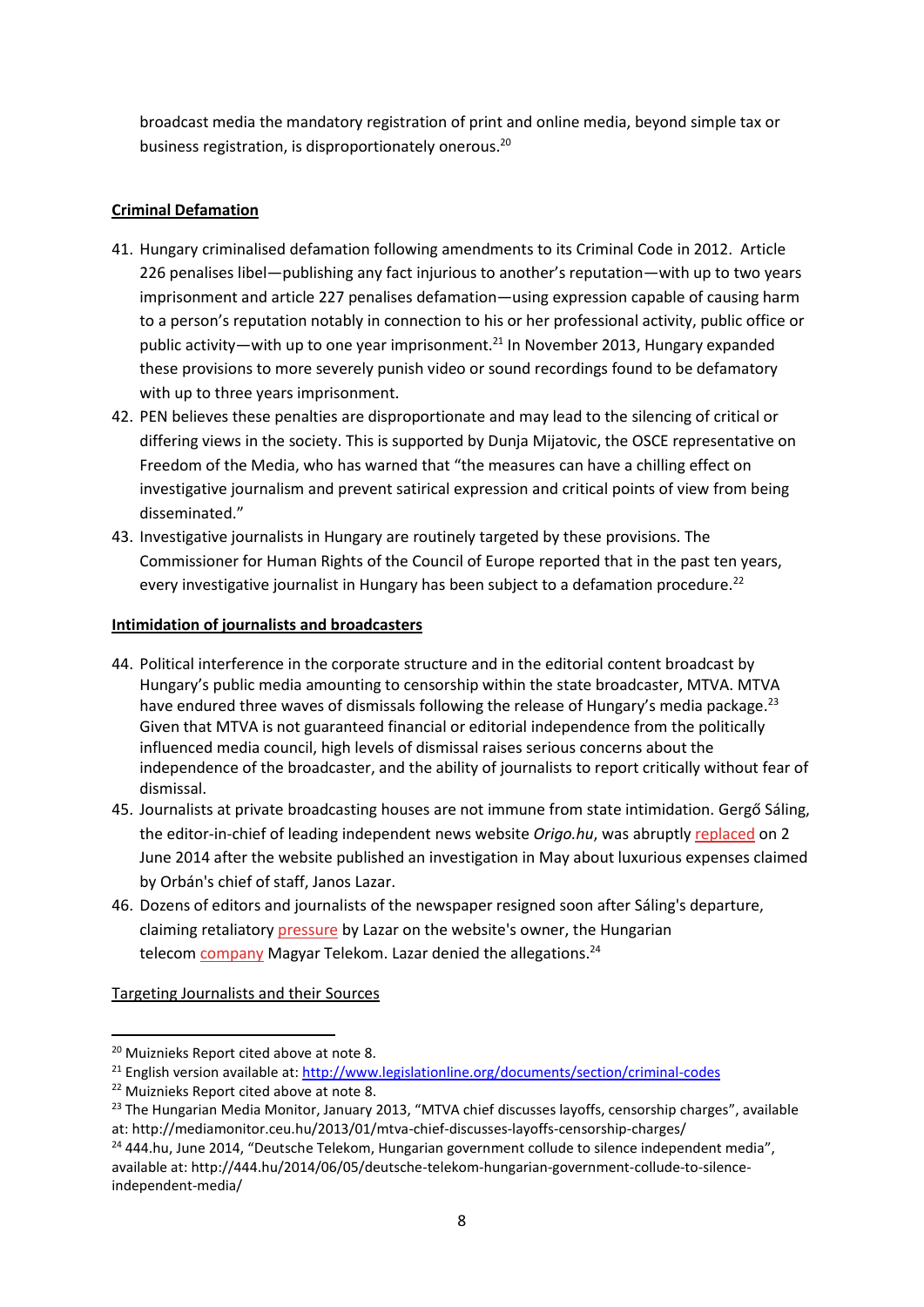broadcast media the mandatory registration of print and online media, beyond simple tax or business registration, is disproportionately onerous.<sup>20</sup>

### **Criminal Defamation**

- 41. Hungary criminalised defamation following amendments to its Criminal Code in 2012. Article 226 penalises libel—publishing any fact injurious to another's reputation—with up to two years imprisonment and article 227 penalises defamation—using expression capable of causing harm to a person's reputation notably in connection to his or her professional activity, public office or public activity—with up to one year imprisonment.<sup>21</sup> In November 2013, Hungary expanded these provisions to more severely punish video or sound recordings found to be defamatory with up to three years imprisonment.
- 42. PEN believes these penalties are disproportionate and may lead to the silencing of critical or differing views in the society. This is supported by Dunja Mijatovic, the OSCE representative on Freedom of the Media, who has warned that "the measures can have a chilling effect on investigative journalism and prevent satirical expression and critical points of view from being disseminated."
- 43. Investigative journalists in Hungary are routinely targeted by these provisions. The Commissioner for Human Rights of the Council of Europe reported that in the past ten years, every investigative journalist in Hungary has been subject to a defamation procedure.<sup>22</sup>

## **Intimidation of journalists and broadcasters**

- 44. Political interference in the corporate structure and in the editorial content broadcast by Hungary's public media amounting to censorship within the state broadcaster, MTVA. MTVA have endured three waves of dismissals following the release of Hungary's media package.<sup>23</sup> Given that MTVA is not guaranteed financial or editorial independence from the politically influenced media council, high levels of dismissal raises serious concerns about the independence of the broadcaster, and the ability of journalists to report critically without fear of dismissal.
- 45. Journalists at private broadcasting houses are not immune from state intimidation. Gergő Sáling, the editor-in-chief of leading independent news website *Origo.hu*, was abruptly [replaced](http://www.economist.com/news/europe/21604214-freedom-expression-under-threat-lazar-affair) on 2 June 2014 after the website published an investigation in May about luxurious expenses claimed by Orbán's chief of staff, Janos Lazar.
- 46. Dozens of editors and journalists of the newspaper resigned soon after Sáling's departure, claiming retaliatory [pressure](http://444.hu/2014/06/05/deutsche-telekom-hungarian-government-collude-to-silence-independent-media/) by Lazar on the website's owner, the Hungarian telecom [company](http://444.hu/2014/06/05/deutsche-telekom-hungarian-government-collude-to-silence-independent-media/) Magyar Telekom. Lazar denied the allegations.<sup>24</sup>

Targeting Journalists and their Sources

**.** 

<sup>&</sup>lt;sup>20</sup> Muiznieks Report cited above at note 8.

<sup>&</sup>lt;sup>21</sup> English version available at:<http://www.legislationline.org/documents/section/criminal-codes>

<sup>&</sup>lt;sup>22</sup> Muiznieks Report cited above at note 8.

<sup>&</sup>lt;sup>23</sup> The Hungarian Media Monitor, January 2013, "MTVA chief discusses layoffs, censorship charges", available at: http://mediamonitor.ceu.hu/2013/01/mtva-chief-discusses-layoffs-censorship-charges/

<sup>24</sup> 444.hu, June 2014, "Deutsche Telekom, Hungarian government collude to silence independent media", available at: http://444.hu/2014/06/05/deutsche-telekom-hungarian-government-collude-to-silenceindependent-media/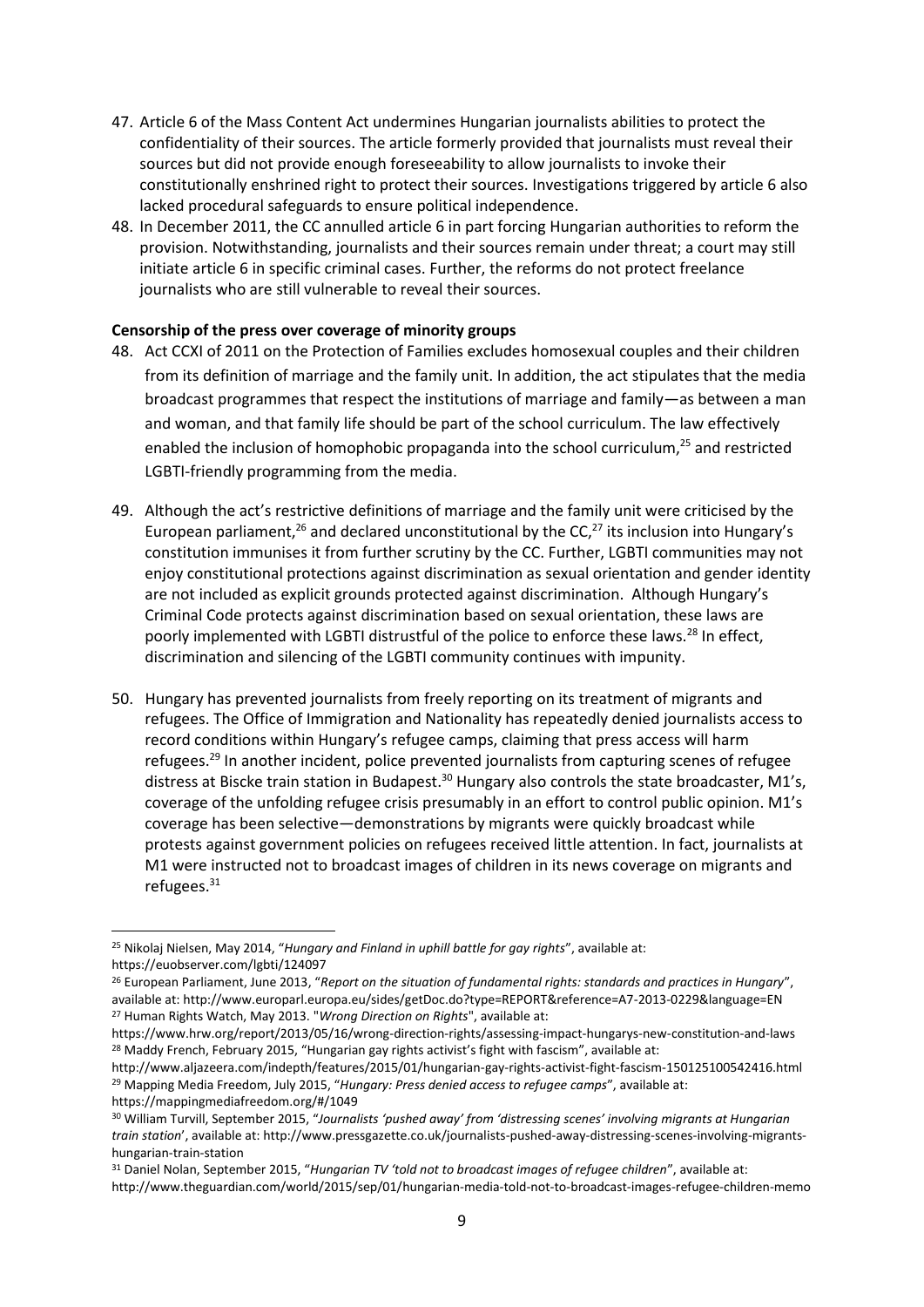- 47. Article 6 of the Mass Content Act undermines Hungarian journalists abilities to protect the confidentiality of their sources. The article formerly provided that journalists must reveal their sources but did not provide enough foreseeability to allow journalists to invoke their constitutionally enshrined right to protect their sources. Investigations triggered by article 6 also lacked procedural safeguards to ensure political independence.
- 48. In December 2011, the CC annulled article 6 in part forcing Hungarian authorities to reform the provision. Notwithstanding, journalists and their sources remain under threat; a court may still initiate article 6 in specific criminal cases. Further, the reforms do not protect freelance journalists who are still vulnerable to reveal their sources.

#### **Censorship of the press over coverage of minority groups**

- 48. Act CCXI of 2011 on the Protection of Families excludes homosexual couples and their children from its definition of marriage and the family unit. In addition, the act stipulates that the media broadcast programmes that respect the institutions of marriage and family—as between a man and woman, and that family life should be part of the school curriculum. The law effectively enabled the inclusion of homophobic propaganda into the school curriculum,<sup>25</sup> and restricted LGBTI-friendly programming from the media.
- 49. Although the act's restrictive definitions of marriage and the family unit were criticised by the European parliament,<sup>26</sup> and declared unconstitutional by the CC,<sup>27</sup> its inclusion into Hungary's constitution immunises it from further scrutiny by the CC. Further, LGBTI communities may not enjoy constitutional protections against discrimination as sexual orientation and gender identity are not included as explicit grounds protected against discrimination. Although Hungary's Criminal Code protects against discrimination based on sexual orientation, these laws are poorly implemented with LGBTI distrustful of the police to enforce these laws.<sup>28</sup> In effect, discrimination and silencing of the LGBTI community continues with impunity.
- 50. Hungary has prevented journalists from freely reporting on its treatment of migrants and refugees. The Office of Immigration and Nationality has repeatedly denied journalists access to record conditions within Hungary's refugee camps, claiming that press access will harm refugees.<sup>29</sup> In another incident, police prevented journalists from capturing scenes of refugee distress at Biscke train station in Budapest.<sup>30</sup> Hungary also controls the state broadcaster, M1's, coverage of the unfolding refugee crisis presumably in an effort to control public opinion. M1's coverage has been selective—demonstrations by migrants were quickly broadcast while protests against government policies on refugees received little attention. In fact, journalists at M1 were instructed not to broadcast images of children in its news coverage on migrants and refugees.<sup>31</sup>

**.** 

<sup>25</sup> Nikolaj Nielsen, May 2014, "*Hungary and Finland in uphill battle for gay rights*", available at: https://euobserver.com/lgbti/124097

<sup>26</sup> European Parliament, June 2013, "*Report on the situation of fundamental rights: standards and practices in Hungary*", available at: http://www.europarl.europa.eu/sides/getDoc.do?type=REPORT&reference=A7-2013-0229&language=EN <sup>27</sup> Human Rights Watch, May 2013. "*Wrong Direction on Rights*", available at:

https://www.hrw.org/report/2013/05/16/wrong-direction-rights/assessing-impact-hungarys-new-constitution-and-laws <sup>28</sup> Maddy French, February 2015, "Hungarian gay rights activist's fight with fascism", available at:

http://www.aljazeera.com/indepth/features/2015/01/hungarian-gay-rights-activist-fight-fascism-150125100542416.html <sup>29</sup> Mapping Media Freedom, July 2015, "*Hungary: Press denied access to refugee camps*", available at: https://mappingmediafreedom.org/#/1049

<sup>30</sup> William Turvill, September 2015, "*Journalists 'pushed away' from 'distressing scenes' involving migrants at Hungarian train station*', available at: http://www.pressgazette.co.uk/journalists-pushed-away-distressing-scenes-involving-migrantshungarian-train-station

<sup>31</sup> Daniel Nolan, September 2015, "*Hungarian TV 'told not to broadcast images of refugee children*", available at: http://www.theguardian.com/world/2015/sep/01/hungarian-media-told-not-to-broadcast-images-refugee-children-memo